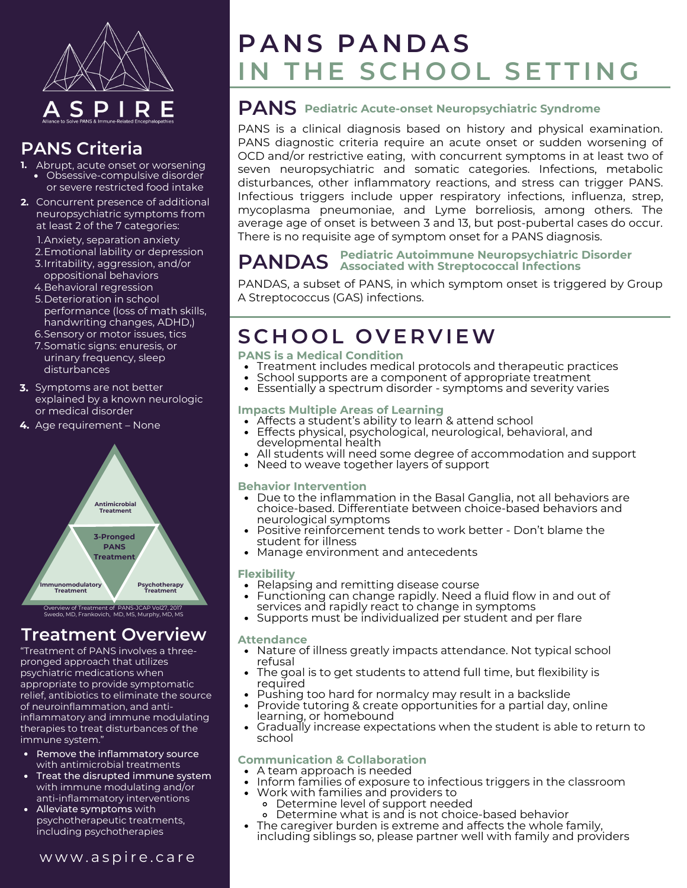

## **PANS Criteria**

- **1.** Abrupt, acute onset or worsening Obsessive-compulsive disorder
	- or severe restricted food intake
- **2.** Concurrent presence of additional neuropsychiatric symptoms from at least 2 of the 7 categories:
	- 1. Anxiety, separation anxiety 2. Emotional lability or depression
	- 3. Irritability, aggression, and/or oppositional behaviors
	- 4. Behavioral regression
	- 5. Deterioration in school performance (loss of math skills, handwriting changes, ADHD,)
	- 6.Sensory or motor issues, tics
	- 7.Somatic signs: enuresis, or urinary frequency, sleep disturbances
- **3.** Symptoms are not better explained by a known neurologic or medical disorder
- **4.** Age requirement None



Overview of Treatment of PANS-JCAP Vol27, 2017 Swedo, MD, Frankovich, MD, MS, Murphy, MD, MS

## **Treatment Overview**

"Treatment of PANS involves a threepronged approach that utilizes psychiatric medications when appropriate to provide symptomatic relief, antibiotics to eliminate the source of neuroinflammation, and antiinflammatory and immune modulating therapies to treat disturbances of the immune system."

- Remove the inflammatory source with antimicrobial treatments
- Treat the disrupted immune system with immune modulating and/or anti-inflammatory interventions
- Alleviate symptoms with psychotherapeutic treatments, including psychotherapies

### [w](https://aspire.care/)ww.aspire.care

# $P$  **A N**  $S$  **P A N**  $D$  **A**  $S$ IN THE SCHOOL SETTING

## **PANS Pediatric Acute-onset Neuropsychiatric Syndrome**

PANS is a clinical diagnosis based on history and physical examination. PANS diagnostic criteria require an acute onset or sudden worsening of OCD and/or restrictive eating, with concurrent symptoms in at least two of seven neuropsychiatric and somatic categories. Infections, metabolic disturbances, other inflammatory reactions, and stress can trigger PANS. Infectious triggers include upper respiratory infections, influenza, strep, mycoplasma pneumoniae, and Lyme borreliosis, among others. The average age of onset is between 3 and 13, but post-pubertal cases do occur. There is no requisite age of symptom onset for a PANS diagnosis.

#### **PANDAS Pediatric Autoimmune Neuropsychiatric Disorder Associated with Streptococcal Infections**

PANDAS, a subset of PANS, in which symptom onset is triggered by Group A Streptococcus (GAS) infections.

# **S C H O O L O V E R V IEW**

- **PANS is a Medical Condition**
- Treatment includes medical protocols and therapeutic practices
- School supports are a component of appropriate treatment  $\bullet$
- Essentially a spectrum disorder symptoms and severity varies

#### **Impacts Multiple Areas of Learning**

- Affects a student's ability to learn & attend school
- Effects physical, psychological, neurological, behavioral, and developmental health
- All students will need some degree of accommodation and support
- Need to weave together layers of support

#### **Behavior Intervention**

- Due to the inflammation in the Basal Ganglia, not all behaviors are choice-based. Differentiate between choice-based behaviors and neurological symptoms
- Positive reinforcement tends to work better Don't blame the student for illness
- Manage environment and antecedents

#### **Flexibility**

- Relapsing and remitting disease course
- Functioning can change rapidly. Need a fluid flow in and out of services and rapidly react to change in symptoms
- Supports must be individualized per student and per flare

#### **Attendance**

- Nature of illness greatly impacts attendance. Not typical school refusal
- The goal is to get students to attend full time, but flexibility is required
- Pushing too hard for normalcy may result in a backslide
- Provide tutoring & create opportunities for a partial day, online learning, or homebound
- Gradually increase expectations when the student is able to return to school

#### **Communication & Collaboration**

- A team approach is needed
- Inform families of exposure to infectious triggers in the classroom
	- Work with families and providers to
		- Determine level of support needed
		- Determine what is and is not choice-based behavior
- The caregiver burden is extreme and affects the whole family, including siblings so, please partner well with family and providers